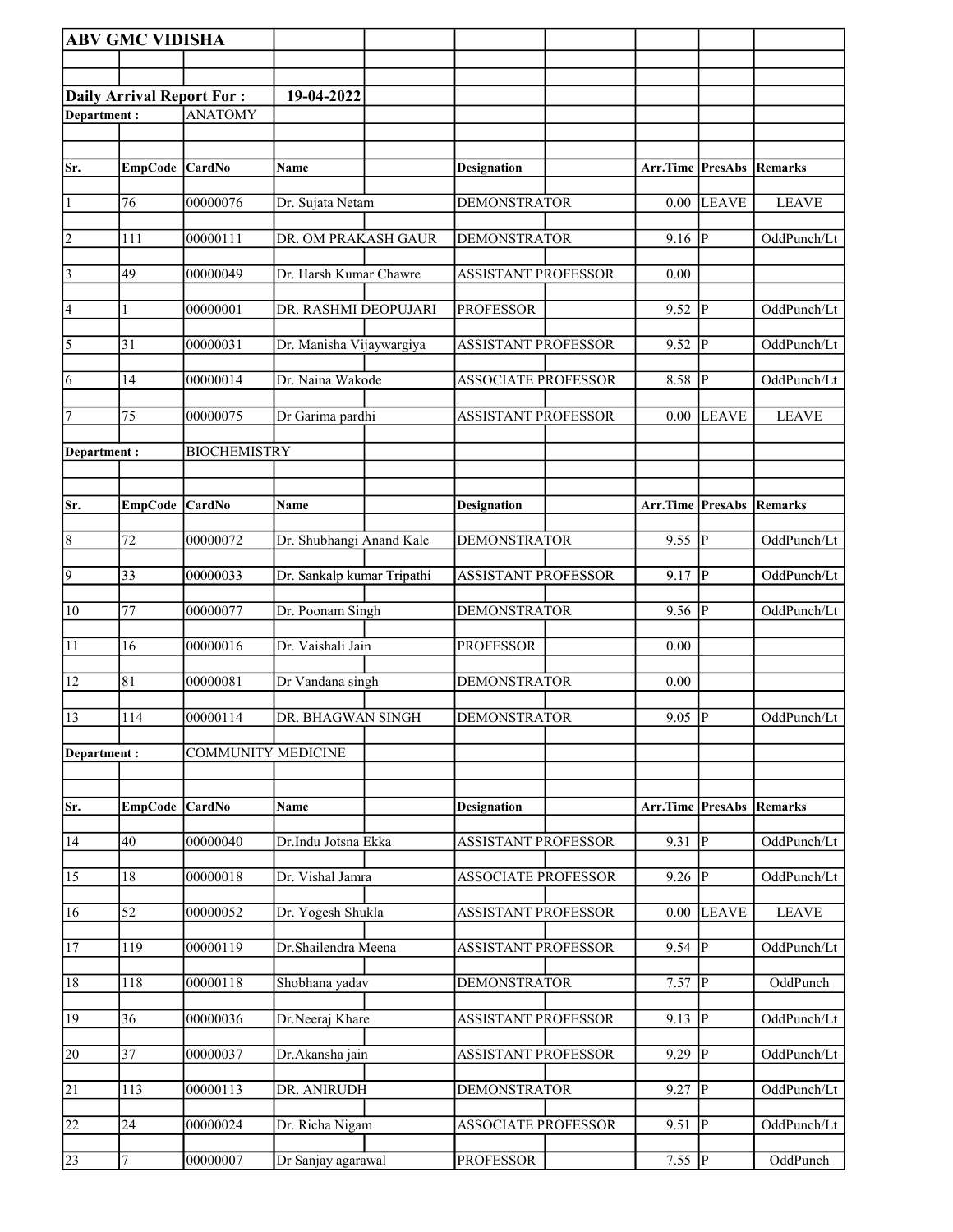|                 | <b>ABV GMC VIDISHA</b>           |                           |                            |                            |                           |                         |              |
|-----------------|----------------------------------|---------------------------|----------------------------|----------------------------|---------------------------|-------------------------|--------------|
|                 |                                  |                           |                            |                            |                           |                         |              |
|                 | <b>Daily Arrival Report For:</b> |                           | 19-04-2022                 |                            |                           |                         |              |
| Department:     |                                  | <b>ANATOMY</b>            |                            |                            |                           |                         |              |
|                 |                                  |                           |                            |                            |                           |                         |              |
| Sr.             | <b>EmpCode</b>                   | <b>CardNo</b>             | Name                       | <b>Designation</b>         | Arr.Time                  | <b>PresAbs</b>          | Remarks      |
| $\vert$ 1       | 76                               | 00000076                  | Dr. Sujata Netam           | <b>DEMONSTRATOR</b>        | 0.00                      | <b>LEAVE</b>            | <b>LEAVE</b> |
| $\overline{2}$  | 111                              | 00000111                  | DR. OM PRAKASH GAUR        | <b>DEMONSTRATOR</b>        | 9.16                      | P                       | OddPunch/Lt  |
| $\sqrt{3}$      | 49                               | 00000049                  | Dr. Harsh Kumar Chawre     | <b>ASSISTANT PROFESSOR</b> | 0.00                      |                         |              |
| 4               | 1                                | 00000001                  | DR. RASHMI DEOPUJARI       | <b>PROFESSOR</b>           | 9.52                      | $\overline{P}$          | OddPunch/Lt  |
| $\overline{5}$  | 31                               | 00000031                  | Dr. Manisha Vijaywargiya   | <b>ASSISTANT PROFESSOR</b> | 9.52                      | $\overline{\mathbf{P}}$ | OddPunch/Lt  |
| $\overline{6}$  | 14                               | 00000014                  | Dr. Naina Wakode           | <b>ASSOCIATE PROFESSOR</b> | 8.58                      | $\overline{\mathbf{P}}$ | OddPunch/Lt  |
| 17              | 75                               | 00000075                  | Dr Garima pardhi           | <b>ASSISTANT PROFESSOR</b> | 0.00                      | <b>LEAVE</b>            | <b>LEAVE</b> |
| Department:     |                                  | <b>BIOCHEMISTRY</b>       |                            |                            |                           |                         |              |
|                 |                                  |                           |                            |                            |                           |                         |              |
| Sr.             | <b>EmpCode</b>                   | <b>CardNo</b>             | Name                       | <b>Designation</b>         | <b>Arr.Time   PresAbs</b> |                         | Remarks      |
| $\overline{8}$  | 72                               | 00000072                  | Dr. Shubhangi Anand Kale   | <b>DEMONSTRATOR</b>        | 9.55                      | $\overline{\mathbb{P}}$ | OddPunch/Lt  |
| $\overline{9}$  | $ 33\rangle$                     | 00000033                  | Dr. Sankalp kumar Tripathi | <b>ASSISTANT PROFESSOR</b> | 9.17                      | $\mathbf{P}$            | OddPunch/Lt  |
| 10              | 77                               | 00000077                  | Dr. Poonam Singh           | <b>DEMONSTRATOR</b>        | 9.56                      | $ {\bf p} $             | OddPunch/Lt  |
| $\overline{11}$ | 16                               | 00000016                  | Dr. Vaishali Jain          | <b>PROFESSOR</b>           | 0.00                      |                         |              |
| 12              | 81                               | 00000081                  | Dr Vandana singh           | <b>DEMONSTRATOR</b>        | 0.00                      |                         |              |
| 13              | 114                              | 00000114                  | DR. BHAGWAN SINGH          | <b>DEMONSTRATOR</b>        | $9.05 \overline{P}$       |                         | OddPunch/Lt  |
| Department:     |                                  | <b>COMMUNITY MEDICINE</b> |                            |                            |                           |                         |              |
|                 |                                  |                           |                            |                            |                           |                         |              |
| Sr.             | <b>EmpCode</b>                   | <b>CardNo</b>             | Name                       | <b>Designation</b>         | <b>Arr.Time PresAbs</b>   |                         | Remarks      |
| 14              | 40                               | 00000040                  | Dr.Indu Jotsna Ekka        | ASSISTANT PROFESSOR        | 9.31                      | $\mathbf P$             | OddPunch/Lt  |
| $\overline{15}$ | 18                               | 00000018                  | Dr. Vishal Jamra           | <b>ASSOCIATE PROFESSOR</b> | 9.26                      | P                       | OddPunch/Lt  |
| $\overline{16}$ | 52                               | 00000052                  | Dr. Yogesh Shukla          | <b>ASSISTANT PROFESSOR</b> | 0.00                      | <b>LEAVE</b>            | <b>LEAVE</b> |
| <sup>17</sup>   | 119                              | 00000119                  | Dr.Shailendra Meena        | <b>ASSISTANT PROFESSOR</b> | 9.54                      | $\vert$ P               | OddPunch/Lt  |
| 18              | 118                              | 00000118                  | Shobhana yadav             | <b>DEMONSTRATOR</b>        | 7.57                      | $\overline{P}$          | OddPunch     |
| 19              | 36                               | 00000036                  | Dr.Neeraj Khare            | <b>ASSISTANT PROFESSOR</b> | 9.13                      | P                       | OddPunch/Lt  |
| 20              | $\overline{37}$                  | 00000037                  | Dr.Akansha jain            | ASSISTANT PROFESSOR        | 9.29                      | $\overline{\mathbf{P}}$ | OddPunch/Lt  |
| $\overline{21}$ | 113                              | 00000113                  | <b>DR. ANIRUDH</b>         | <b>DEMONSTRATOR</b>        | 9.27                      | $\overline{\mathbf{P}}$ | OddPunch/Lt  |
| 22              | 24                               | 00000024                  | Dr. Richa Nigam            | <b>ASSOCIATE PROFESSOR</b> | 9.51                      | $\overline{P}$          | OddPunch/Lt  |
| $\overline{23}$ | 7                                | 00000007                  | Dr Sanjay agarawal         | <b>PROFESSOR</b>           | $7.55$ P                  |                         | OddPunch     |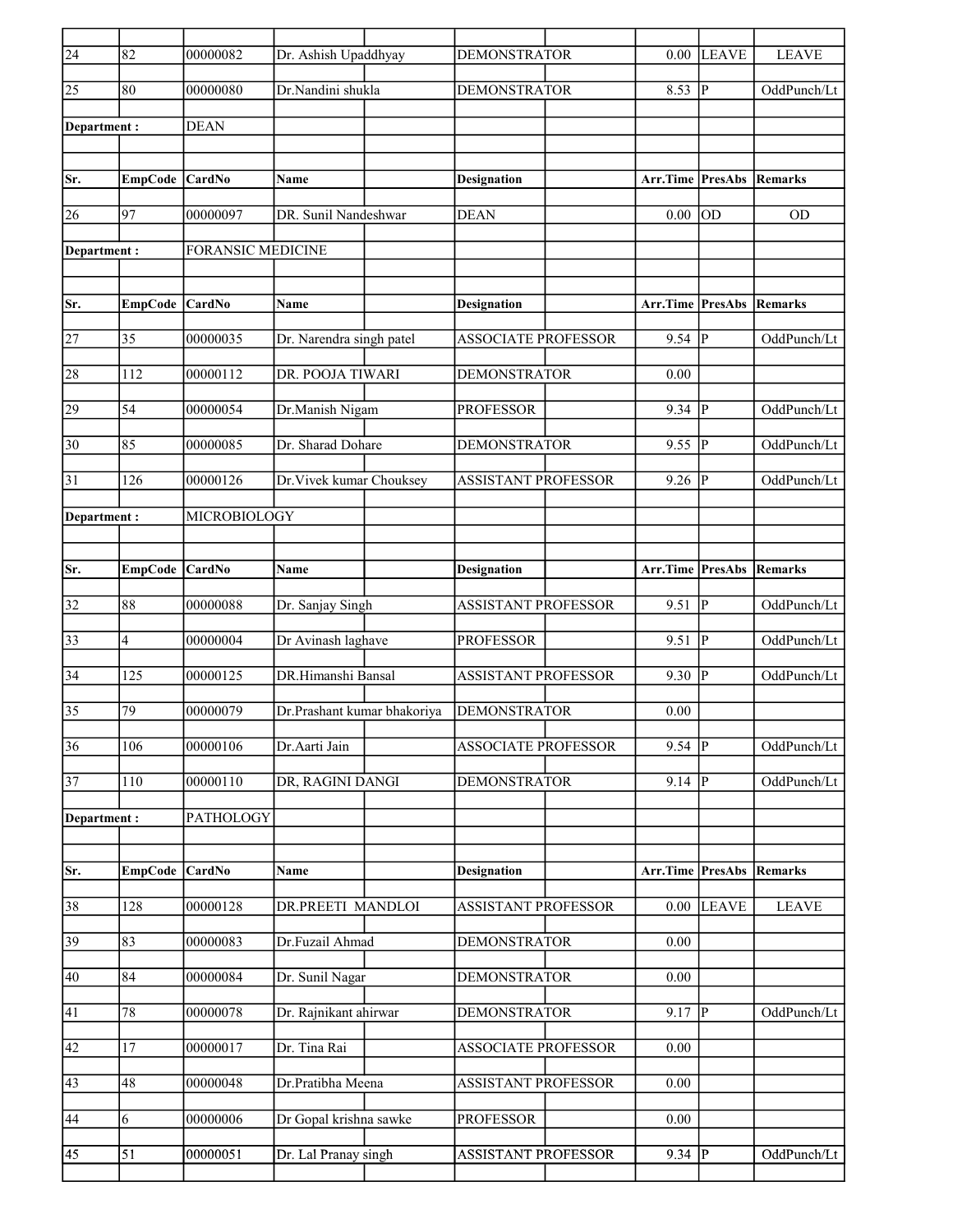| $\overline{24}$ | 82             | 00000082                 | Dr. Ashish Upaddhyay        | <b>DEMONSTRATOR</b>        | 0.00                            | LEAVE        | <b>LEAVE</b> |
|-----------------|----------------|--------------------------|-----------------------------|----------------------------|---------------------------------|--------------|--------------|
| 25              | 80             | 00000080                 | Dr.Nandini shukla           | <b>DEMONSTRATOR</b>        | 8.53                            | P            | OddPunch/Lt  |
| Department :    |                | <b>DEAN</b>              |                             |                            |                                 |              |              |
|                 |                |                          |                             |                            |                                 |              |              |
| Sr.             | <b>EmpCode</b> | <b>CardNo</b>            | Name                        | <b>Designation</b>         | Arr.Time PresAbs                |              | Remarks      |
| 26              | 97             | 00000097                 | DR. Sunil Nandeshwar        | <b>DEAN</b>                | 0.00                            | lod          | OD           |
| Department:     |                | <b>FORANSIC MEDICINE</b> |                             |                            |                                 |              |              |
|                 |                |                          |                             |                            |                                 |              |              |
| Sr.             | <b>EmpCode</b> | <b>CardNo</b>            | Name                        | <b>Designation</b>         | <b>Arr.Time PresAbs Remarks</b> |              |              |
| 27              | 35             | 00000035                 | Dr. Narendra singh patel    | <b>ASSOCIATE PROFESSOR</b> | 9.54                            | lР           | OddPunch/Lt  |
| 28              | 112            | 00000112                 | DR. POOJA TIWARI            | <b>DEMONSTRATOR</b>        | 0.00                            |              |              |
| 29              | 54             | 00000054                 | Dr.Manish Nigam             | <b>PROFESSOR</b>           | 9.34                            | p            | OddPunch/Lt  |
| 30              | 85             | 00000085                 | Dr. Sharad Dohare           | <b>DEMONSTRATOR</b>        | 9.55                            | P            | OddPunch/Lt  |
| 31              | 126            | 00000126                 | Dr. Vivek kumar Chouksey    | <b>ASSISTANT PROFESSOR</b> | 9.26                            | P            | OddPunch/Lt  |
| Department :    |                | MICROBIOLOGY             |                             |                            |                                 |              |              |
|                 |                |                          |                             |                            |                                 |              |              |
| Sr.             | <b>EmpCode</b> | <b>CardNo</b>            | Name                        | <b>Designation</b>         | <b>Arr.Time PresAbs Remarks</b> |              |              |
| 32              | 88             | 00000088                 | Dr. Sanjay Singh            | <b>ASSISTANT PROFESSOR</b> | 9.51                            | P            | OddPunch/Lt  |
| 33              | 4              | 00000004                 | Dr Avinash laghave          | <b>PROFESSOR</b>           | 9.51                            | P            | OddPunch/Lt  |
| 34              | 125            | 00000125                 | DR.Himanshi Bansal          | <b>ASSISTANT PROFESSOR</b> | 9.30                            | P            | OddPunch/Lt  |
| 35              | 79             | 00000079                 | Dr.Prashant kumar bhakoriya | <b>DEMONSTRATOR</b>        | 0.00                            |              |              |
| $\overline{36}$ | 106            | 00000106                 | Dr.Aarti Jain               | <b>ASSOCIATE PROFESSOR</b> | 9.54                            | $ {\bf P} $  | OddPunch/Lt  |
| 37              | 110            | 00000110                 | DR, RAGINI DANGI            | <b>DEMONSTRATOR</b>        | 9.14   $P$                      |              | OddPunch/Lt  |
| Department:     |                | PATHOLOGY                |                             |                            |                                 |              |              |
|                 |                |                          |                             |                            |                                 |              |              |
| Sr.             | <b>EmpCode</b> | CardNo                   | Name                        | <b>Designation</b>         | Arr.Time PresAbs                |              | Remarks      |
| $\overline{38}$ | 128            | 00000128                 | DR.PREETI MANDLOI           | <b>ASSISTANT PROFESSOR</b> | 0.00                            | <b>LEAVE</b> | <b>LEAVE</b> |
| $\overline{39}$ | 83             | 00000083                 | Dr.Fuzail Ahmad             | <b>DEMONSTRATOR</b>        | 0.00                            |              |              |
| 40              | 84             | 00000084                 | Dr. Sunil Nagar             | <b>DEMONSTRATOR</b>        | 0.00                            |              |              |
| 41              | 78             | 00000078                 | Dr. Rajnikant ahirwar       | <b>DEMONSTRATOR</b>        | $9.17$ P                        |              | OddPunch/Lt  |
| 42              | 17             | 00000017                 | Dr. Tina Rai                | <b>ASSOCIATE PROFESSOR</b> | 0.00                            |              |              |
| 43              | 48             | 00000048                 | Dr.Pratibha Meena           | <b>ASSISTANT PROFESSOR</b> | 0.00                            |              |              |
| 44              | 6              | 00000006                 | Dr Gopal krishna sawke      | <b>PROFESSOR</b>           | 0.00                            |              |              |
| 45              | 51             | 00000051                 | Dr. Lal Pranay singh        | ASSISTANT PROFESSOR        | $9.34$ P                        |              | OddPunch/Lt  |
|                 |                |                          |                             |                            |                                 |              |              |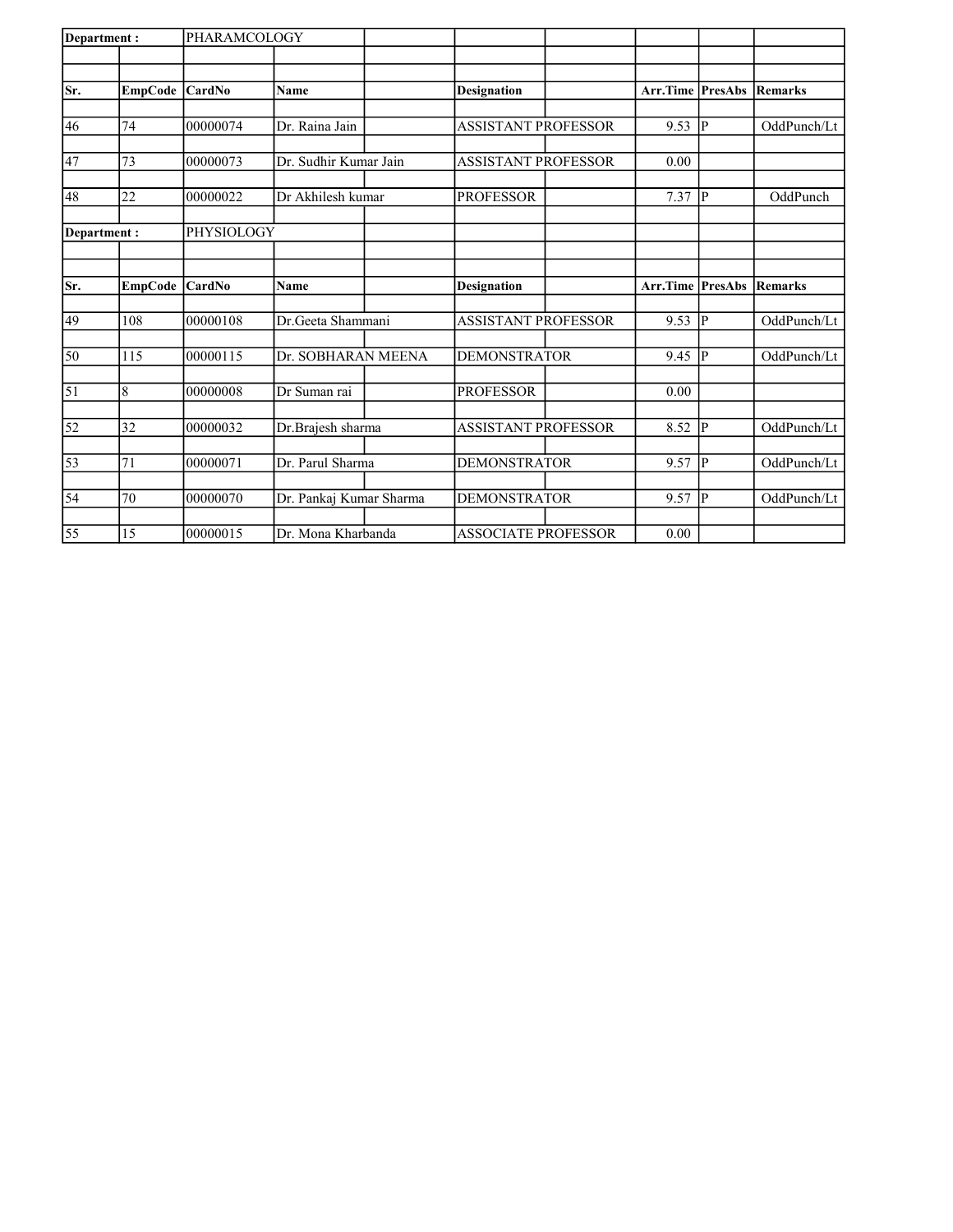| Department: |                | PHARAMCOLOGY  |                         |                            |                           |                |             |
|-------------|----------------|---------------|-------------------------|----------------------------|---------------------------|----------------|-------------|
|             |                |               |                         |                            |                           |                |             |
| Sr.         | <b>EmpCode</b> | <b>CardNo</b> | Name                    | <b>Designation</b>         | <b>Arr.Time   PresAbs</b> |                | Remarks     |
|             |                |               |                         |                            |                           |                |             |
| 46          | 74             | 00000074      | Dr. Raina Jain          | <b>ASSISTANT PROFESSOR</b> | 9.53                      | p              | OddPunch/Lt |
| 47          | 73             | 00000073      | Dr. Sudhir Kumar Jain   | <b>ASSISTANT PROFESSOR</b> | 0.00                      |                |             |
|             |                |               |                         |                            |                           |                |             |
| 48          | 22             | 00000022      | Dr Akhilesh kumar       | <b>PROFESSOR</b>           | 7.37                      | <sup>1</sup> P | OddPunch    |
| Department: |                | PHYSIOLOGY    |                         |                            |                           |                |             |
|             |                |               |                         |                            |                           |                |             |
| Sr.         | EmpCode        | <b>CardNo</b> | <b>Name</b>             | <b>Designation</b>         | <b>Arr.Time PresAbs</b>   |                | Remarks     |
|             |                |               |                         |                            |                           |                |             |
| 49          | 108            | 00000108      | Dr.Geeta Shammani       | <b>ASSISTANT PROFESSOR</b> | 9.53                      | P              | OddPunch/Lt |
| 50          | 115            | 00000115      | Dr. SOBHARAN MEENA      | <b>DEMONSTRATOR</b>        | 9.45                      | P              | OddPunch/Lt |
|             |                |               |                         |                            |                           |                |             |
| $\vert$ 51  | 8              | 00000008      | Dr Suman rai            | <b>PROFESSOR</b>           | 0.00                      |                |             |
| 52          | 32             | 00000032      | Dr.Brajesh sharma       | <b>ASSISTANT PROFESSOR</b> | 8.52                      | P              | OddPunch/Lt |
| 53          | 71             | 00000071      | Dr. Parul Sharma        | <b>DEMONSTRATOR</b>        | 9.57                      | p              | OddPunch/Lt |
|             |                |               |                         |                            |                           |                |             |
| 54          | 70             | 00000070      | Dr. Pankaj Kumar Sharma | <b>DEMONSTRATOR</b>        | 9.57                      | P              | OddPunch/Lt |
| 55          | 15             | 00000015      | Dr. Mona Kharbanda      | <b>ASSOCIATE PROFESSOR</b> | 0.00                      |                |             |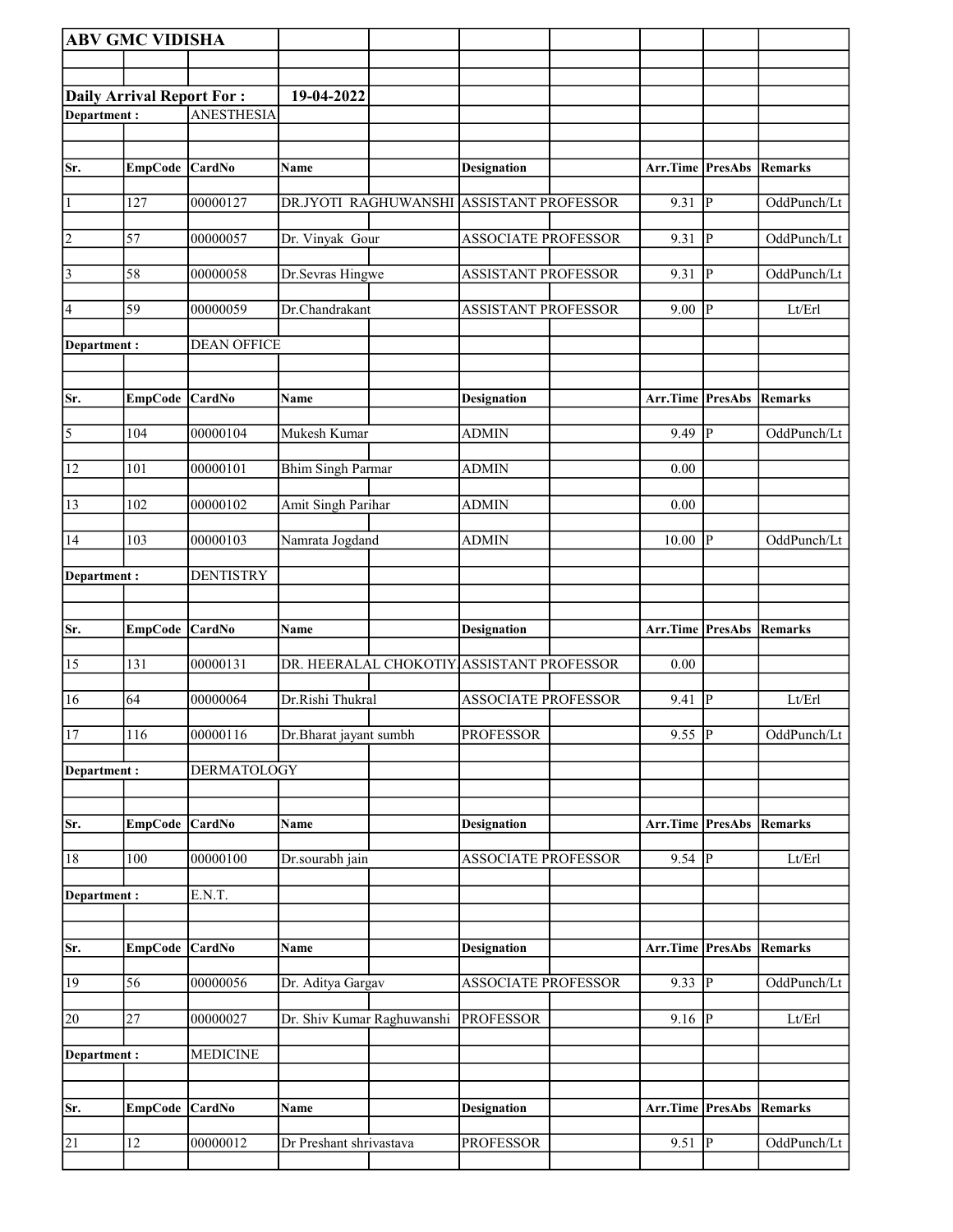|                | <b>ABV GMC VIDISHA</b>           |                    |                            |                                           |                                 |               |                |
|----------------|----------------------------------|--------------------|----------------------------|-------------------------------------------|---------------------------------|---------------|----------------|
|                |                                  |                    |                            |                                           |                                 |               |                |
|                | <b>Daily Arrival Report For:</b> |                    | 19-04-2022                 |                                           |                                 |               |                |
| Department:    |                                  | <b>ANESTHESIA</b>  |                            |                                           |                                 |               |                |
|                |                                  |                    |                            |                                           |                                 |               |                |
| Sr.            | EmpCode CardNo                   |                    | Name                       | <b>Designation</b>                        | Arr.Time PresAbs                |               | Remarks        |
| 1              | 127                              | 00000127           |                            | DR.JYOTI RAGHUWANSHI ASSISTANT PROFESSOR  | 9.31                            | P             | OddPunch/Lt    |
| 2              | 57                               | 00000057           | Dr. Vinyak Gour            | <b>ASSOCIATE PROFESSOR</b>                | 9.31                            | P             | OddPunch/Lt    |
| 3              | 58                               | 00000058           | Dr.Sevras Hingwe           | <b>ASSISTANT PROFESSOR</b>                | 9.31                            | P             | OddPunch/Lt    |
| 4              | 59                               | 00000059           | Dr.Chandrakant             | <b>ASSISTANT PROFESSOR</b>                | 9.00                            | <sup> p</sup> | Lt/Erl         |
| Department:    |                                  | <b>DEAN OFFICE</b> |                            |                                           |                                 |               |                |
| Sr.            | EmpCode CardNo                   |                    | Name                       | <b>Designation</b>                        | <b>Arr.Time PresAbs Remarks</b> |               |                |
| $\overline{5}$ | 104                              | 00000104           | Mukesh Kumar               | <b>ADMIN</b>                              | 9.49                            | P             | OddPunch/Lt    |
| 12             | 101                              | 00000101           | <b>Bhim Singh Parmar</b>   | <b>ADMIN</b>                              | 0.00                            |               |                |
| 13             | 102                              | 00000102           | Amit Singh Parihar         | ADMIN                                     | 0.00                            |               |                |
| 14             | 103                              | 00000103           | Namrata Jogdand            | <b>ADMIN</b>                              | 10.00                           | lР            | OddPunch/Lt    |
| Department :   |                                  | <b>DENTISTRY</b>   |                            |                                           |                                 |               |                |
| Sr.            | EmpCode CardNo                   |                    | Name                       | <b>Designation</b>                        | <b>Arr.Time PresAbs Remarks</b> |               |                |
|                |                                  |                    |                            |                                           |                                 |               |                |
| 15             | 131                              | 00000131           |                            | DR. HEERALAL CHOKOTIY ASSISTANT PROFESSOR | 0.00                            |               |                |
| 16             | 64                               | 00000064           | Dr.Rishi Thukral           | <b>ASSOCIATE PROFESSOR</b>                | 9.41                            | P             | Lt/Erl         |
| 17             | 116                              | 00000116           | Dr.Bharat jayant sumbh     | <b>PROFESSOR</b>                          | $9.55$ P                        |               | OddPunch/Lt    |
| Department:    |                                  | <b>DERMATOLOGY</b> |                            |                                           |                                 |               |                |
| Sr.            | EmpCode CardNo                   |                    | Name                       | <b>Designation</b>                        | Arr.Time PresAbs                |               | Remarks        |
| 18             | 100                              | 00000100           | Dr.sourabh jain            | <b>ASSOCIATE PROFESSOR</b>                | 9.54 $ \overline{P} $           |               | Lt/Erl         |
| Department:    |                                  | E.N.T.             |                            |                                           |                                 |               |                |
|                |                                  |                    |                            |                                           |                                 |               |                |
| Sr.            | EmpCode CardNo                   |                    | Name                       | <b>Designation</b>                        | Arr.Time PresAbs                |               | <b>Remarks</b> |
| 19             | 56                               | 00000056           | Dr. Aditya Gargav          | <b>ASSOCIATE PROFESSOR</b>                | 9.33   $P$                      |               | OddPunch/Lt    |
| 20             | 27                               | 00000027           | Dr. Shiv Kumar Raghuwanshi | <b>PROFESSOR</b>                          | 9.16  P                         |               | Lt/Erl         |
| Department:    |                                  | <b>MEDICINE</b>    |                            |                                           |                                 |               |                |
|                |                                  |                    |                            |                                           |                                 |               |                |
| Sr.            | EmpCode CardNo                   |                    | Name                       | <b>Designation</b>                        | Arr.Time PresAbs                |               | Remarks        |
| 21             | 12                               | 00000012           | Dr Preshant shrivastava    | <b>PROFESSOR</b>                          | $9.51$ P                        |               | OddPunch/Lt    |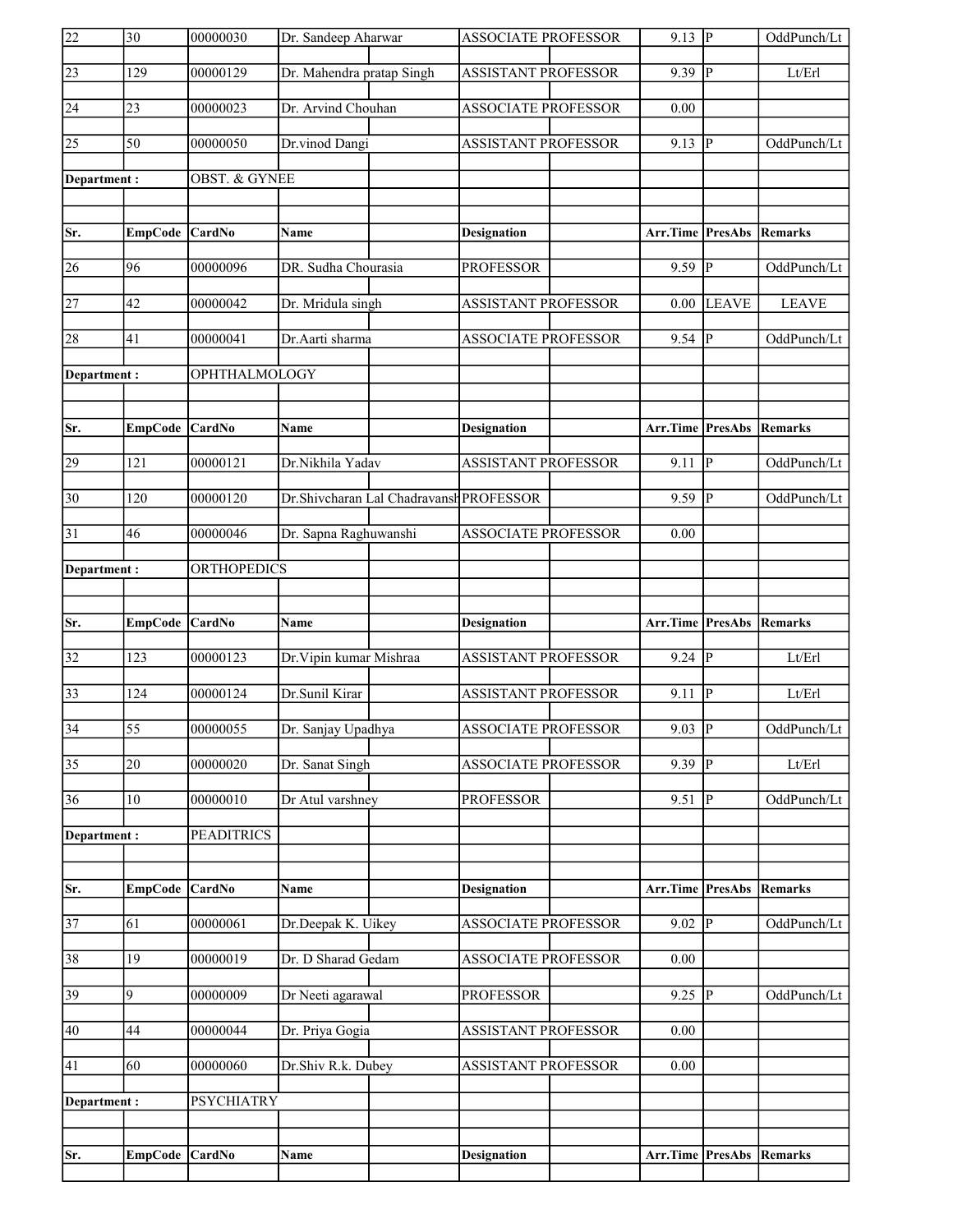| 22              | $\overline{30}$ | 00000030                 | Dr. Sandeep Aharwar       |                                          | <b>ASSOCIATE PROFESSOR</b> | $9.13$ P                        |              | OddPunch/Lt    |
|-----------------|-----------------|--------------------------|---------------------------|------------------------------------------|----------------------------|---------------------------------|--------------|----------------|
| $\sqrt{23}$     | 129             | 00000129                 | Dr. Mahendra pratap Singh |                                          | <b>ASSISTANT PROFESSOR</b> | 9.39                            | P            | Lt/Erl         |
| 24              | 23              | 00000023                 | Dr. Arvind Chouhan        |                                          | <b>ASSOCIATE PROFESSOR</b> | 0.00                            |              |                |
| 25              | $\overline{50}$ | 00000050                 | Dr.vinod Dangi            |                                          | <b>ASSISTANT PROFESSOR</b> | 9.13                            | P            | OddPunch/Lt    |
| Department:     |                 | <b>OBST. &amp; GYNEE</b> |                           |                                          |                            |                                 |              |                |
|                 |                 |                          |                           |                                          |                            |                                 |              |                |
| Sr.             | EmpCode CardNo  |                          | Name                      |                                          | <b>Designation</b>         | Arr.Time PresAbs                |              | <b>Remarks</b> |
| 26              | 96              | 00000096                 | DR. Sudha Chourasia       |                                          | <b>PROFESSOR</b>           | 9.59  P                         |              | OddPunch/Lt    |
| 27              | 42              | 00000042                 | Dr. Mridula singh         |                                          | <b>ASSISTANT PROFESSOR</b> | 0.00                            | <b>LEAVE</b> | <b>LEAVE</b>   |
| 28              | 41              | 00000041                 | Dr.Aarti sharma           |                                          | <b>ASSOCIATE PROFESSOR</b> | $9.54$ P                        |              | OddPunch/Lt    |
| Department:     |                 | OPHTHALMOLOGY            |                           |                                          |                            |                                 |              |                |
|                 |                 |                          |                           |                                          |                            |                                 |              |                |
| Sr.             | EmpCode CardNo  |                          | Name                      |                                          | <b>Designation</b>         | Arr.Time PresAbs                |              | <b>Remarks</b> |
| 29              | 121             | 00000121                 | Dr.Nikhila Yadav          |                                          | <b>ASSISTANT PROFESSOR</b> | 9.11                            | P            | OddPunch/Lt    |
| 30              | 120             | 00000120                 |                           | Dr. Shivcharan Lal Chadravansh PROFESSOR |                            | 9.59                            | P            | OddPunch/Lt    |
| $\overline{31}$ | 46              | 00000046                 | Dr. Sapna Raghuwanshi     |                                          | <b>ASSOCIATE PROFESSOR</b> | 0.00                            |              |                |
| Department:     |                 | <b>ORTHOPEDICS</b>       |                           |                                          |                            |                                 |              |                |
|                 |                 |                          |                           |                                          |                            |                                 |              |                |
|                 |                 |                          |                           |                                          |                            |                                 |              |                |
| Sr.             | EmpCode CardNo  |                          | Name                      |                                          | <b>Designation</b>         | <b>Arr.Time PresAbs Remarks</b> |              |                |
| 32              | 123             | 00000123                 | Dr. Vipin kumar Mishraa   |                                          | <b>ASSISTANT PROFESSOR</b> | $9.24 \overline{P}$             |              | Lt/Erl         |
| 33              | 124             | 00000124                 | Dr.Sunil Kirar            |                                          | <b>ASSISTANT PROFESSOR</b> | 9.11                            | <b>IP</b>    | Lt/Erl         |
| $\overline{34}$ | $\overline{55}$ | 00000055                 | Dr. Sanjay Upadhya        |                                          | ASSOCIATE PROFESSOR        | $9.03$ P                        |              | OddPunch/Lt    |
| $\overline{35}$ | 20              | 00000020                 | Dr. Sanat Singh           |                                          | <b>ASSOCIATE PROFESSOR</b> | 9.39                            | IР           | Lt/Erl         |
| 36              | 10              | 00000010                 | Dr Atul varshney          |                                          | <b>PROFESSOR</b>           | 9.51                            | P            | OddPunch/Lt    |
| Department:     |                 | <b>PEADITRICS</b>        |                           |                                          |                            |                                 |              |                |
|                 |                 |                          |                           |                                          |                            |                                 |              |                |
| Sr.             | EmpCode CardNo  |                          | Name                      |                                          | <b>Designation</b>         | Arr.Time PresAbs                |              | Remarks        |
| 37              | 61              | 00000061                 | Dr.Deepak K. Uikey        |                                          | <b>ASSOCIATE PROFESSOR</b> | $9.02$ P                        |              | OddPunch/Lt    |
| 38              | 19              | 00000019                 | Dr. D Sharad Gedam        |                                          | ASSOCIATE PROFESSOR        | 0.00                            |              |                |
| 39              | 9               | 00000009                 | Dr Neeti agarawal         |                                          | <b>PROFESSOR</b>           | $9.25$ P                        |              | OddPunch/Lt    |
| 40              | 44              | 00000044                 | Dr. Priya Gogia           |                                          | <b>ASSISTANT PROFESSOR</b> | 0.00                            |              |                |
| 41              | 60              | 00000060                 | Dr.Shiv R.k. Dubey        |                                          | <b>ASSISTANT PROFESSOR</b> | $0.00\,$                        |              |                |
|                 |                 |                          |                           |                                          |                            |                                 |              |                |
| Department:     |                 | <b>PSYCHIATRY</b>        |                           |                                          |                            |                                 |              |                |
| Sr.             | EmpCode CardNo  |                          | Name                      |                                          | <b>Designation</b>         | <b>Arr.Time PresAbs Remarks</b> |              |                |